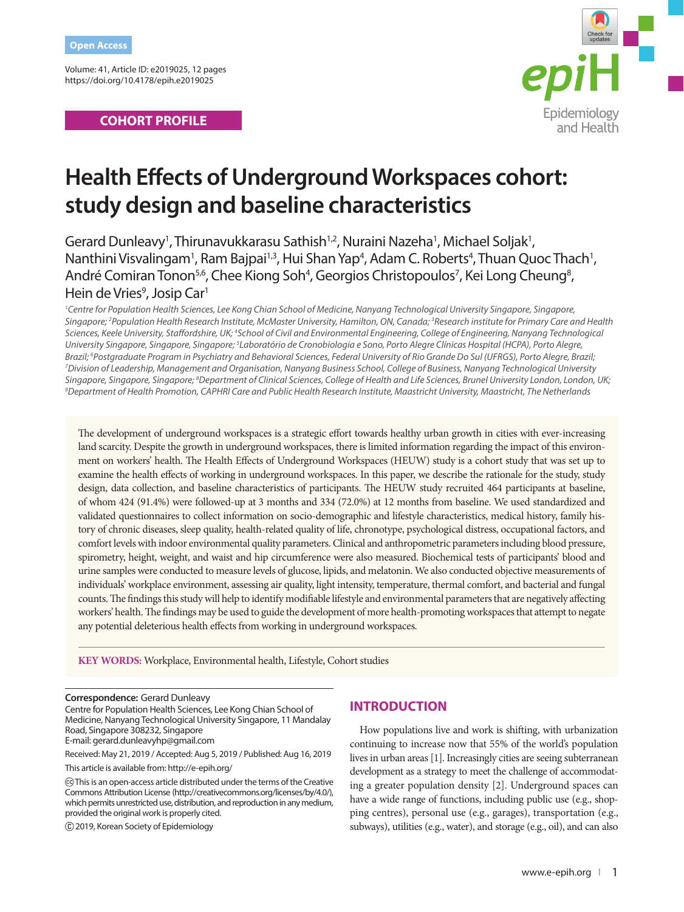Volume: 41, Article ID: e2019025, 12 pages https://doi.org/10.4178/epih.e2019025

# **COHORT PROFILE**



# **Health Effects of Underground Workspaces cohort: study design and baseline characteristics**

Gerard Dunleavy<sup>1</sup>, Thirunavukkarasu Sathish<sup>1,2</sup>, Nuraini Nazeha<sup>1</sup>, Michael Soljak<sup>1</sup>, Nanthini Visvalingam<sup>1</sup>, Ram Bajpai<sup>1,3</sup>, Hui Shan Yap<sup>4</sup>, Adam C. Roberts<sup>4</sup>, Thuan Quoc Thach<sup>1</sup>, André Comiran Tonon<sup>5,6</sup>, Chee Kiong Soh<sup>4</sup>, Georgios Christopoulos<sup>7</sup>, Kei Long Cheung<sup>8</sup>, Hein de Vries<sup>9</sup>, Josip Car<sup>1</sup>

<sup>1</sup> Centre for Population Health Sciences, Lee Kong Chian School of Medicine, Nanyang Technological University Singapore, Singapore, *Singapore; 2 Population Health Research Institute, McMaster University, Hamilton, ON, Canada; 3 Research institute for Primary Care and Health*  Sciences, Keele University, Staffordshire, UK; <sup>4</sup>School of Civil and Environmental Engineering, College of Engineering, Nanyang Technological *University Singapore, Singapore, Singapore; 5 Laboratório de Cronobiologia e Sono, Porto Alegre Clínicas Hospital (HCPA), Porto Alegre,*  Brazil; <sup>6</sup>Postgraduate Program in Psychiatry and Behavioral Sciences, Federal University of Rio Grande Do Sul (UFRGS), Porto Alegre, Brazil;<br><sup>7</sup>Division of Leadership, Manggement and Organisation, Napyang Business School, *Division of Leadership, Management and Organisation, Nanyang Business School, College of Business, Nanyang Technological University*  Singapore, Singapore, Singapore; <sup>8</sup>Department of Clinical Sciences, College of Health and Life Sciences, Brunel University London, London, UK;<br><sup>9</sup>Department of Health Promotion, CAPHRLCare and Public Health Research Insti *Department of Health Promotion, CAPHRI Care and Public Health Research Institute, Maastricht University, Maastricht, The Netherlands*

The development of underground workspaces is a strategic effort towards healthy urban growth in cities with ever-increasing land scarcity. Despite the growth in underground workspaces, there is limited information regarding the impact of this environment on workers' health. The Health Effects of Underground Workspaces (HEUW) study is a cohort study that was set up to examine the health effects of working in underground workspaces. In this paper, we describe the rationale for the study, study design, data collection, and baseline characteristics of participants. The HEUW study recruited 464 participants at baseline, of whom 424 (91.4%) were followed-up at 3 months and 334 (72.0%) at 12 months from baseline. We used standardized and validated questionnaires to collect information on socio-demographic and lifestyle characteristics, medical history, family history of chronic diseases, sleep quality, health-related quality of life, chronotype, psychological distress, occupational factors, and comfort levels with indoor environmental quality parameters. Clinical and anthropometric parameters including blood pressure, spirometry, height, weight, and waist and hip circumference were also measured. Biochemical tests of participants' blood and urine samples were conducted to measure levels of glucose, lipids, and melatonin. We also conducted objective measurements of individuals' workplace environment, assessing air quality, light intensity, temperature, thermal comfort, and bacterial and fungal counts. The findings this study will help to identify modifiable lifestyle and environmental parameters that are negatively affecting workers' health. The findings may be used to guide the development of more health-promoting workspaces that attempt to negate any potential deleterious health effects from working in underground workspaces.

**KEY WORDS:** Workplace, Environmental health, Lifestyle, Cohort studies

Centre for Population Health Sciences, Lee Kong Chian School of Medicine, Nanyang Technological University Singapore, 11 Mandalay Road, Singapore 308232, Singapore

E-mail: gerard.dunleavyhp@gmail.com

Received: May 21, 2019 / Accepted: Aug 5, 2019 / Published: Aug 16, 2019

This article is available from: http://e-epih.org/

 This is an open-access article distributed under the terms of the Creative Commons Attribution License (http://creativecommons.org/licenses/by/4.0/), which permits unrestricted use, distribution, and reproduction in any medium, provided the original work is properly cited.

2019, Korean Society of Epidemiology

# **INTRODUCTION**

How populations live and work is shifting, with urbanization continuing to increase now that 55% of the world's population lives in urban areas [1]. Increasingly cities are seeing subterranean development as a strategy to meet the challenge of accommodating a greater population density [2]. Underground spaces can have a wide range of functions, including public use (e.g., shopping centres), personal use (e.g., garages), transportation (e.g., subways), utilities (e.g., water), and storage (e.g., oil), and can also

**Correspondence:** Gerard Dunleavy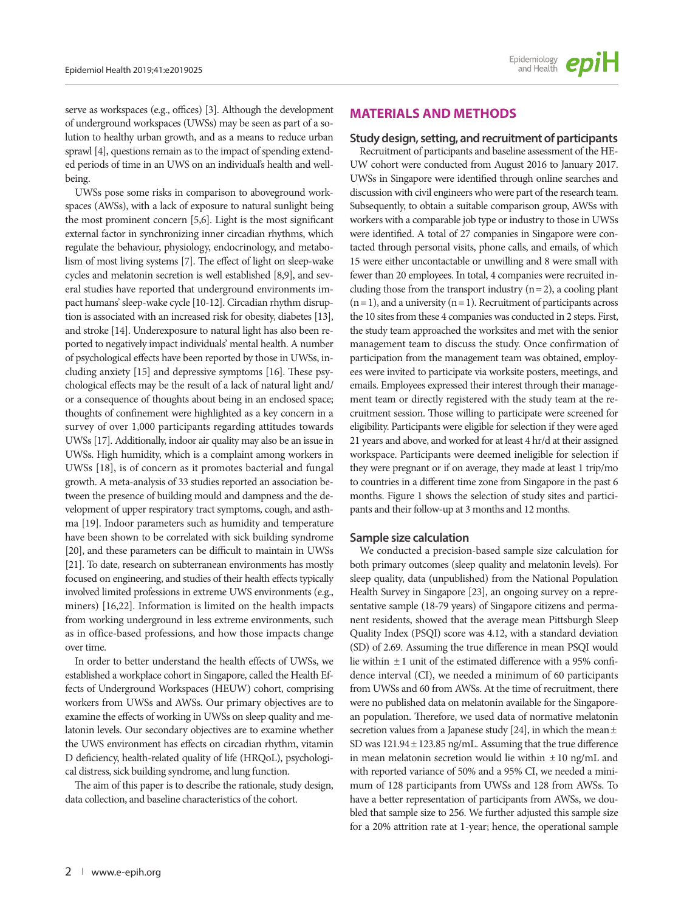serve as workspaces (e.g., offices) [3]. Although the development of underground workspaces (UWSs) may be seen as part of a solution to healthy urban growth, and as a means to reduce urban sprawl [4], questions remain as to the impact of spending extended periods of time in an UWS on an individual's health and wellbeing.

UWSs pose some risks in comparison to aboveground workspaces (AWSs), with a lack of exposure to natural sunlight being the most prominent concern [5,6]. Light is the most significant external factor in synchronizing inner circadian rhythms, which regulate the behaviour, physiology, endocrinology, and metabolism of most living systems [7]. The effect of light on sleep-wake cycles and melatonin secretion is well established [8,9], and several studies have reported that underground environments impact humans' sleep-wake cycle [10-12]. Circadian rhythm disruption is associated with an increased risk for obesity, diabetes [13], and stroke [14]. Underexposure to natural light has also been reported to negatively impact individuals' mental health. A number of psychological effects have been reported by those in UWSs, including anxiety [15] and depressive symptoms [16]. These psychological effects may be the result of a lack of natural light and/ or a consequence of thoughts about being in an enclosed space; thoughts of confinement were highlighted as a key concern in a survey of over 1,000 participants regarding attitudes towards UWSs [17]. Additionally, indoor air quality may also be an issue in UWSs. High humidity, which is a complaint among workers in UWSs [18], is of concern as it promotes bacterial and fungal growth. A meta-analysis of 33 studies reported an association between the presence of building mould and dampness and the development of upper respiratory tract symptoms, cough, and asthma [19]. Indoor parameters such as humidity and temperature have been shown to be correlated with sick building syndrome [20], and these parameters can be difficult to maintain in UWSs [21]. To date, research on subterranean environments has mostly focused on engineering, and studies of their health effects typically involved limited professions in extreme UWS environments (e.g., miners) [16,22]. Information is limited on the health impacts from working underground in less extreme environments, such as in office-based professions, and how those impacts change over time.

In order to better understand the health effects of UWSs, we established a workplace cohort in Singapore, called the Health Effects of Underground Workspaces (HEUW) cohort, comprising workers from UWSs and AWSs. Our primary objectives are to examine the effects of working in UWSs on sleep quality and melatonin levels. Our secondary objectives are to examine whether the UWS environment has effects on circadian rhythm, vitamin D deficiency, health-related quality of life (HRQoL), psychological distress, sick building syndrome, and lung function.

The aim of this paper is to describe the rationale, study design, data collection, and baseline characteristics of the cohort.

# **MATERIALS AND METHODS**

#### **Study design, setting, and recruitment of participants**

Recruitment of participants and baseline assessment of the HE-UW cohort were conducted from August 2016 to January 2017. UWSs in Singapore were identified through online searches and discussion with civil engineers who were part of the research team. Subsequently, to obtain a suitable comparison group, AWSs with workers with a comparable job type or industry to those in UWSs were identified. A total of 27 companies in Singapore were contacted through personal visits, phone calls, and emails, of which 15 were either uncontactable or unwilling and 8 were small with fewer than 20 employees. In total, 4 companies were recruited including those from the transport industry  $(n = 2)$ , a cooling plant  $(n = 1)$ , and a university  $(n = 1)$ . Recruitment of participants across the 10 sites from these 4 companies was conducted in 2 steps. First, the study team approached the worksites and met with the senior management team to discuss the study. Once confirmation of participation from the management team was obtained, employees were invited to participate via worksite posters, meetings, and emails. Employees expressed their interest through their management team or directly registered with the study team at the recruitment session. Those willing to participate were screened for eligibility. Participants were eligible for selection if they were aged 21 years and above, and worked for at least 4 hr/d at their assigned workspace. Participants were deemed ineligible for selection if they were pregnant or if on average, they made at least 1 trip/mo to countries in a different time zone from Singapore in the past 6 months. Figure 1 shows the selection of study sites and participants and their follow-up at 3 months and 12 months.

## **Sample size calculation**

We conducted a precision-based sample size calculation for both primary outcomes (sleep quality and melatonin levels). For sleep quality, data (unpublished) from the National Population Health Survey in Singapore [23], an ongoing survey on a representative sample (18-79 years) of Singapore citizens and permanent residents, showed that the average mean Pittsburgh Sleep Quality Index (PSQI) score was 4.12, with a standard deviation (SD) of 2.69. Assuming the true difference in mean PSQI would lie within  $\pm 1$  unit of the estimated difference with a 95% confidence interval (CI), we needed a minimum of 60 participants from UWSs and 60 from AWSs. At the time of recruitment, there were no published data on melatonin available for the Singaporean population. Therefore, we used data of normative melatonin secretion values from a Japanese study [24], in which the mean  $\pm$ SD was 121.94± 123.85 ng/mL. Assuming that the true difference in mean melatonin secretion would lie within  $\pm 10$  ng/mL and with reported variance of 50% and a 95% CI, we needed a minimum of 128 participants from UWSs and 128 from AWSs. To have a better representation of participants from AWSs, we doubled that sample size to 256. We further adjusted this sample size for a 20% attrition rate at 1-year; hence, the operational sample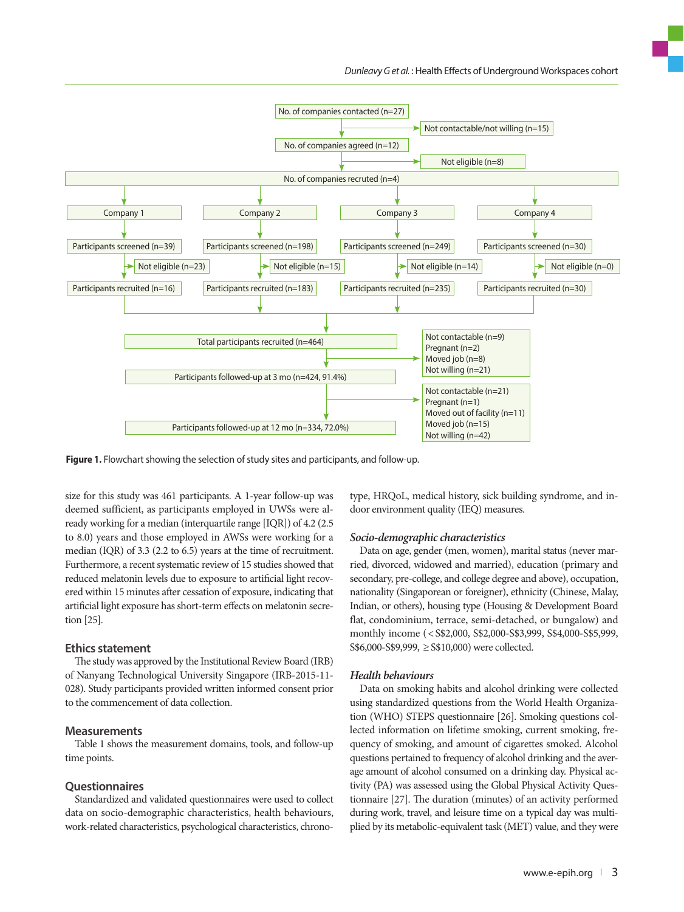

**Figure 1.** Flowchart showing the selection of study sites and participants, and follow-up.

size for this study was 461 participants. A 1-year follow-up was deemed sufficient, as participants employed in UWSs were already working for a median (interquartile range [IQR]) of 4.2 (2.5 to 8.0) years and those employed in AWSs were working for a median (IQR) of 3.3 (2.2 to 6.5) years at the time of recruitment. Furthermore, a recent systematic review of 15 studies showed that reduced melatonin levels due to exposure to artificial light recovered within 15 minutes after cessation of exposure, indicating that artificial light exposure has short-term effects on melatonin secretion [25].

#### **Ethics statement**

The study was approved by the Institutional Review Board (IRB) of Nanyang Technological University Singapore (IRB-2015-11- 028). Study participants provided written informed consent prior to the commencement of data collection.

#### **Measurements**

Table 1 shows the measurement domains, tools, and follow-up time points.

#### **Questionnaires**

Standardized and validated questionnaires were used to collect data on socio-demographic characteristics, health behaviours, work-related characteristics, psychological characteristics, chronotype, HRQoL, medical history, sick building syndrome, and indoor environment quality (IEQ) measures.

#### *Socio-demographic characteristics*

Data on age, gender (men, women), marital status (never married, divorced, widowed and married), education (primary and secondary, pre-college, and college degree and above), occupation, nationality (Singaporean or foreigner), ethnicity (Chinese, Malay, Indian, or others), housing type (Housing & Development Board flat, condominium, terrace, semi-detached, or bungalow) and monthly income (< S\$2,000, S\$2,000-S\$3,999, S\$4,000-S\$5,999, S\$6,000-S\$9,999, ≥ S\$10,000) were collected.

#### *Health behaviours*

Data on smoking habits and alcohol drinking were collected using standardized questions from the World Health Organization (WHO) STEPS questionnaire [26]. Smoking questions collected information on lifetime smoking, current smoking, frequency of smoking, and amount of cigarettes smoked. Alcohol questions pertained to frequency of alcohol drinking and the average amount of alcohol consumed on a drinking day. Physical activity (PA) was assessed using the Global Physical Activity Questionnaire [27]. The duration (minutes) of an activity performed during work, travel, and leisure time on a typical day was multiplied by its metabolic-equivalent task (MET) value, and they were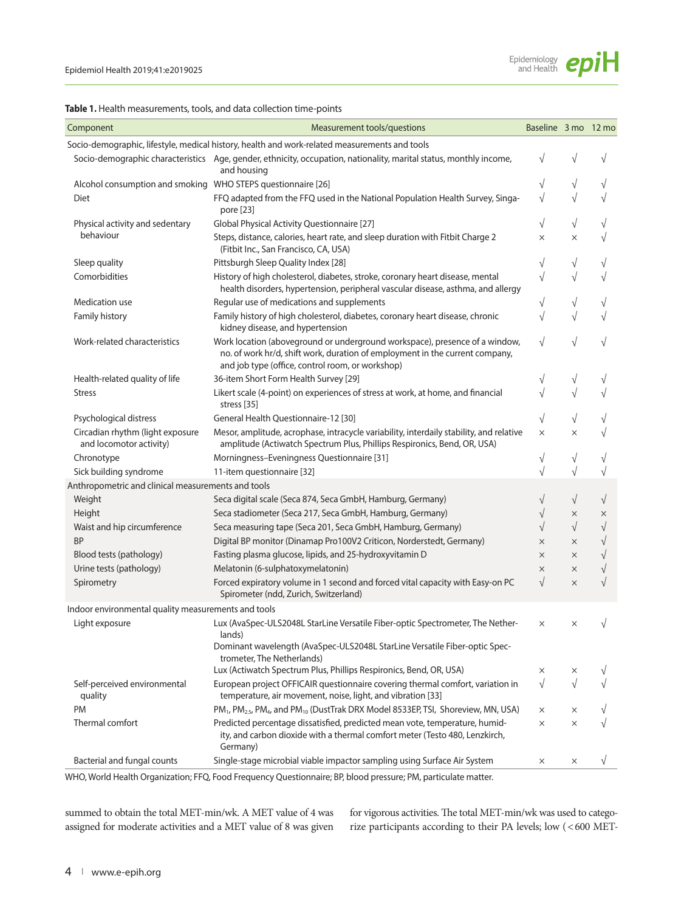

|  |  |  |  | <b>Table 1.</b> Health measurements, tools, and data collection time-points |  |  |  |  |  |  |  |  |  |
|--|--|--|--|-----------------------------------------------------------------------------|--|--|--|--|--|--|--|--|--|
|--|--|--|--|-----------------------------------------------------------------------------|--|--|--|--|--|--|--|--|--|

| Component                                                    | Measurement tools/questions                                                                                                                                                                                     | Baseline 3 mo 12 mo |           |           |
|--------------------------------------------------------------|-----------------------------------------------------------------------------------------------------------------------------------------------------------------------------------------------------------------|---------------------|-----------|-----------|
|                                                              | Socio-demographic, lifestyle, medical history, health and work-related measurements and tools                                                                                                                   |                     |           |           |
|                                                              | Socio-demographic characteristics Age, gender, ethnicity, occupation, nationality, marital status, monthly income,<br>and housing                                                                               | V                   |           |           |
| Alcohol consumption and smoking WHO STEPS questionnaire [26] |                                                                                                                                                                                                                 | $\sqrt{}$           | $\sqrt{}$ | V         |
| Diet                                                         | FFQ adapted from the FFQ used in the National Population Health Survey, Singa-<br>pore [23]                                                                                                                     | $\sqrt{}$           |           | $\sqrt{}$ |
| Physical activity and sedentary                              | Global Physical Activity Questionnaire [27]                                                                                                                                                                     | $\sqrt{}$           | $\sqrt{}$ | $\sqrt{}$ |
| behaviour                                                    | Steps, distance, calories, heart rate, and sleep duration with Fitbit Charge 2<br>(Fitbit Inc., San Francisco, CA, USA)                                                                                         | X                   | $\times$  | $\sqrt{}$ |
| Sleep quality                                                | Pittsburgh Sleep Quality Index [28]                                                                                                                                                                             | $\sqrt{}$           | $\sqrt{}$ | $\sqrt{}$ |
| Comorbidities                                                | History of high cholesterol, diabetes, stroke, coronary heart disease, mental<br>health disorders, hypertension, peripheral vascular disease, asthma, and allergy                                               | $\sqrt{}$           | $\sqrt{}$ | $\sqrt{}$ |
| Medication use                                               | Regular use of medications and supplements                                                                                                                                                                      | $\sqrt{}$           | V         | V         |
| Family history                                               | Family history of high cholesterol, diabetes, coronary heart disease, chronic<br>kidney disease, and hypertension                                                                                               | $\sqrt{}$           | $\sqrt{}$ | $\sqrt{}$ |
| Work-related characteristics                                 | Work location (aboveground or underground workspace), presence of a window,<br>no. of work hr/d, shift work, duration of employment in the current company,<br>and job type (office, control room, or workshop) | $\sqrt{}$           | V         | V         |
| Health-related quality of life                               | 36-item Short Form Health Survey [29]                                                                                                                                                                           | $\sqrt{}$           | V         | V         |
| <b>Stress</b>                                                | Likert scale (4-point) on experiences of stress at work, at home, and financial<br>stress [35]                                                                                                                  | $\sqrt{}$           | $\sqrt{}$ | $\sqrt{}$ |
| Psychological distress                                       | General Health Questionnaire-12 [30]                                                                                                                                                                            | $\sqrt{}$           | $\sqrt{}$ | V         |
| Circadian rhythm (light exposure<br>and locomotor activity)  | Mesor, amplitude, acrophase, intracycle variability, interdaily stability, and relative<br>amplitude (Actiwatch Spectrum Plus, Phillips Respironics, Bend, OR, USA)                                             | ×                   | $\times$  | $\sqrt{}$ |
| Chronotype                                                   | Morningness-Eveningness Questionnaire [31]                                                                                                                                                                      | $\sqrt{}$           | √         | V         |
| Sick building syndrome                                       | 11-item questionnaire [32]                                                                                                                                                                                      | $\sqrt{}$           | $\sqrt{}$ | $\sqrt{}$ |
| Anthropometric and clinical measurements and tools           |                                                                                                                                                                                                                 |                     |           |           |
| Weight                                                       | Seca digital scale (Seca 874, Seca GmbH, Hamburg, Germany)                                                                                                                                                      | $\sqrt{}$           | $\sqrt{}$ | $\sqrt{}$ |
| Height                                                       | Seca stadiometer (Seca 217, Seca GmbH, Hamburg, Germany)                                                                                                                                                        | $\sqrt{}$           | $\times$  | $\times$  |
| Waist and hip circumference                                  | Seca measuring tape (Seca 201, Seca GmbH, Hamburg, Germany)                                                                                                                                                     | $\sqrt{}$           | $\sqrt{}$ | $\sqrt{}$ |
| <b>BP</b>                                                    | Digital BP monitor (Dinamap Pro100V2 Criticon, Norderstedt, Germany)                                                                                                                                            | $\times$            | $\times$  | $\sqrt{}$ |
| Blood tests (pathology)                                      | Fasting plasma glucose, lipids, and 25-hydroxyvitamin D                                                                                                                                                         | $\times$            | X         | $\sqrt{}$ |
| Urine tests (pathology)                                      | Melatonin (6-sulphatoxymelatonin)                                                                                                                                                                               | $\times$            | $\times$  | $\sqrt{}$ |
| Spirometry                                                   | Forced expiratory volume in 1 second and forced vital capacity with Easy-on PC<br>Spirometer (ndd, Zurich, Switzerland)                                                                                         | $\sqrt{}$           | $\times$  | $\sqrt{}$ |
| Indoor environmental quality measurements and tools          |                                                                                                                                                                                                                 |                     |           |           |
| Light exposure                                               | Lux (AvaSpec-ULS2048L StarLine Versatile Fiber-optic Spectrometer, The Nether-<br>lands)                                                                                                                        | ×                   | X         | $\sqrt{}$ |
|                                                              | Dominant wavelength (AvaSpec-ULS2048L StarLine Versatile Fiber-optic Spec-<br>trometer, The Netherlands)                                                                                                        |                     |           |           |
|                                                              | Lux (Actiwatch Spectrum Plus, Phillips Respironics, Bend, OR, USA)                                                                                                                                              | ×                   | ×         | V         |
| Self-perceived environmental<br>quality                      | European project OFFICAIR questionnaire covering thermal comfort, variation in<br>temperature, air movement, noise, light, and vibration [33]                                                                   | $\sqrt{}$           | $\sqrt{}$ | $\sqrt{}$ |
| PM                                                           | PM <sub>1</sub> , PM <sub>2.5</sub> , PM <sub>4</sub> , and PM <sub>10</sub> (DustTrak DRX Model 8533EP, TSI, Shoreview, MN, USA)                                                                               | ×                   | X         |           |
| Thermal comfort                                              | Predicted percentage dissatisfied, predicted mean vote, temperature, humid-<br>ity, and carbon dioxide with a thermal comfort meter (Testo 480, Lenzkirch,<br>Germany)                                          | $\times$            | X         |           |
| Bacterial and fungal counts                                  | Single-stage microbial viable impactor sampling using Surface Air System                                                                                                                                        | ×                   | ×         | ν         |

WHO, World Health Organization; FFQ, Food Frequency Questionnaire; BP, blood pressure; PM, particulate matter.

summed to obtain the total MET-min/wk. A MET value of 4 was assigned for moderate activities and a MET value of 8 was given for vigorous activities. The total MET-min/wk was used to categorize participants according to their PA levels; low (< 600 MET-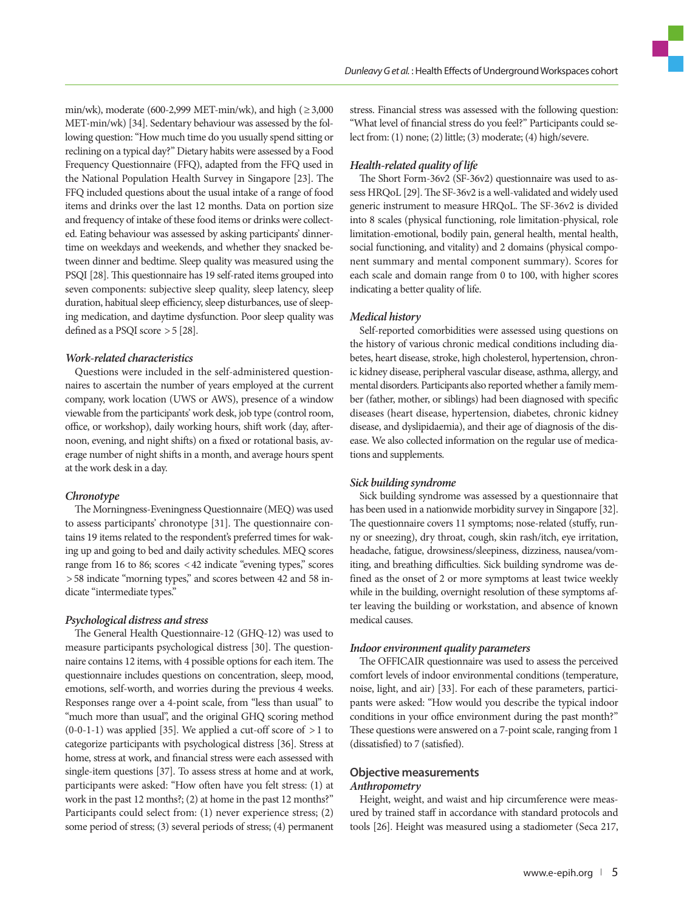min/wk), moderate (600-2,999 MET-min/wk), and high ( $\geq 3,000$ MET-min/wk) [34]. Sedentary behaviour was assessed by the following question: "How much time do you usually spend sitting or reclining on a typical day?" Dietary habits were assessed by a Food Frequency Questionnaire (FFQ), adapted from the FFQ used in the National Population Health Survey in Singapore [23]. The FFQ included questions about the usual intake of a range of food items and drinks over the last 12 months. Data on portion size and frequency of intake of these food items or drinks were collected. Eating behaviour was assessed by asking participants' dinnertime on weekdays and weekends, and whether they snacked between dinner and bedtime. Sleep quality was measured using the PSQI [28]. This questionnaire has 19 self-rated items grouped into seven components: subjective sleep quality, sleep latency, sleep duration, habitual sleep efficiency, sleep disturbances, use of sleeping medication, and daytime dysfunction. Poor sleep quality was defined as a PSQI score > 5 [28].

#### *Work-related characteristics*

Questions were included in the self-administered questionnaires to ascertain the number of years employed at the current company, work location (UWS or AWS), presence of a window viewable from the participants' work desk, job type (control room, office, or workshop), daily working hours, shift work (day, afternoon, evening, and night shifts) on a fixed or rotational basis, average number of night shifts in a month, and average hours spent at the work desk in a day.

#### *Chronotype*

The Morningness-Eveningness Questionnaire (MEQ) was used to assess participants' chronotype [31]. The questionnaire contains 19 items related to the respondent's preferred times for waking up and going to bed and daily activity schedules. MEQ scores range from 16 to 86; scores < 42 indicate "evening types," scores > 58 indicate "morning types," and scores between 42 and 58 indicate "intermediate types."

## *Psychological distress and stress*

The General Health Questionnaire-12 (GHQ-12) was used to measure participants psychological distress [30]. The questionnaire contains 12 items, with 4 possible options for each item. The questionnaire includes questions on concentration, sleep, mood, emotions, self-worth, and worries during the previous 4 weeks. Responses range over a 4-point scale, from "less than usual" to "much more than usual", and the original GHQ scoring method (0-0-1-1) was applied [35]. We applied a cut-off score of  $>1$  to categorize participants with psychological distress [36]. Stress at home, stress at work, and financial stress were each assessed with single-item questions [37]. To assess stress at home and at work, participants were asked: "How often have you felt stress: (1) at work in the past 12 months?; (2) at home in the past 12 months?" Participants could select from: (1) never experience stress; (2) some period of stress; (3) several periods of stress; (4) permanent

stress. Financial stress was assessed with the following question: "What level of financial stress do you feel?" Participants could select from: (1) none; (2) little; (3) moderate; (4) high/severe.

## *Health-related quality of life*

The Short Form-36v2 (SF-36v2) questionnaire was used to assess HRQoL [29]. The SF-36v2 is a well-validated and widely used generic instrument to measure HRQoL. The SF-36v2 is divided into 8 scales (physical functioning, role limitation-physical, role limitation-emotional, bodily pain, general health, mental health, social functioning, and vitality) and 2 domains (physical component summary and mental component summary). Scores for each scale and domain range from 0 to 100, with higher scores indicating a better quality of life.

#### *Medical history*

Self-reported comorbidities were assessed using questions on the history of various chronic medical conditions including diabetes, heart disease, stroke, high cholesterol, hypertension, chronic kidney disease, peripheral vascular disease, asthma, allergy, and mental disorders. Participants also reported whether a family member (father, mother, or siblings) had been diagnosed with specific diseases (heart disease, hypertension, diabetes, chronic kidney disease, and dyslipidaemia), and their age of diagnosis of the disease. We also collected information on the regular use of medications and supplements.

#### *Sick building syndrome*

Sick building syndrome was assessed by a questionnaire that has been used in a nationwide morbidity survey in Singapore [32]. The questionnaire covers 11 symptoms; nose-related (stuffy, runny or sneezing), dry throat, cough, skin rash/itch, eye irritation, headache, fatigue, drowsiness/sleepiness, dizziness, nausea/vomiting, and breathing difficulties. Sick building syndrome was defined as the onset of 2 or more symptoms at least twice weekly while in the building, overnight resolution of these symptoms after leaving the building or workstation, and absence of known medical causes.

#### *Indoor environment quality parameters*

The OFFICAIR questionnaire was used to assess the perceived comfort levels of indoor environmental conditions (temperature, noise, light, and air) [33]. For each of these parameters, participants were asked: "How would you describe the typical indoor conditions in your office environment during the past month?" These questions were answered on a 7-point scale, ranging from 1 (dissatisfied) to 7 (satisfied).

## **Objective measurements**  *Anthropometry*

Height, weight, and waist and hip circumference were measured by trained staff in accordance with standard protocols and tools [26]. Height was measured using a stadiometer (Seca 217,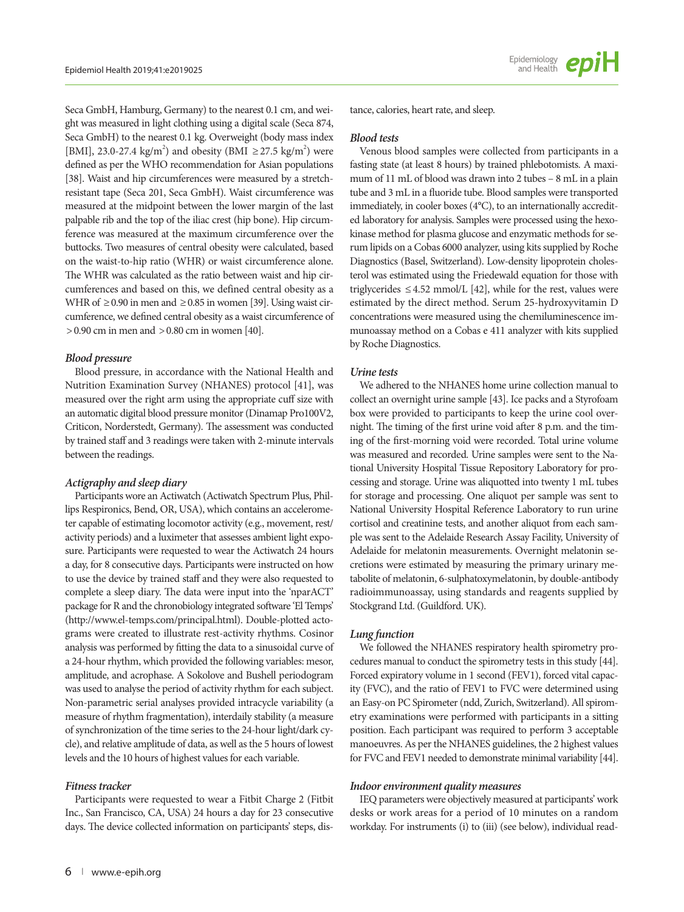Seca GmbH, Hamburg, Germany) to the nearest 0.1 cm, and weight was measured in light clothing using a digital scale (Seca 874, Seca GmbH) to the nearest 0.1 kg. Overweight (body mass index [BMI], 23.0-27.4 kg/m<sup>2</sup>) and obesity (BMI  $\geq$  27.5 kg/m<sup>2</sup>) were defined as per the WHO recommendation for Asian populations [38]. Waist and hip circumferences were measured by a stretchresistant tape (Seca 201, Seca GmbH). Waist circumference was measured at the midpoint between the lower margin of the last palpable rib and the top of the iliac crest (hip bone). Hip circumference was measured at the maximum circumference over the buttocks. Two measures of central obesity were calculated, based on the waist-to-hip ratio (WHR) or waist circumference alone. The WHR was calculated as the ratio between waist and hip circumferences and based on this, we defined central obesity as a WHR of  $\geq$  0.90 in men and  $\geq$  0.85 in women [39]. Using waist circumference, we defined central obesity as a waist circumference of > 0.90 cm in men and > 0.80 cm in women [40].

## *Blood pressure*

Blood pressure, in accordance with the National Health and Nutrition Examination Survey (NHANES) protocol [41], was measured over the right arm using the appropriate cuff size with an automatic digital blood pressure monitor (Dinamap Pro100V2, Criticon, Norderstedt, Germany). The assessment was conducted by trained staff and 3 readings were taken with 2-minute intervals between the readings.

## *Actigraphy and sleep diary*

Participants wore an Actiwatch (Actiwatch Spectrum Plus, Phillips Respironics, Bend, OR, USA), which contains an accelerometer capable of estimating locomotor activity (e.g., movement, rest/ activity periods) and a luximeter that assesses ambient light exposure. Participants were requested to wear the Actiwatch 24 hours a day, for 8 consecutive days. Participants were instructed on how to use the device by trained staff and they were also requested to complete a sleep diary. The data were input into the 'nparACT' package for R and the chronobiology integrated software 'El Temps' (http://www.el-temps.com/principal.html). Double-plotted actograms were created to illustrate rest-activity rhythms. Cosinor analysis was performed by fitting the data to a sinusoidal curve of a 24-hour rhythm, which provided the following variables: mesor, amplitude, and acrophase. A Sokolove and Bushell periodogram was used to analyse the period of activity rhythm for each subject. Non-parametric serial analyses provided intracycle variability (a measure of rhythm fragmentation), interdaily stability (a measure of synchronization of the time series to the 24-hour light/dark cycle), and relative amplitude of data, as well as the 5 hours of lowest levels and the 10 hours of highest values for each variable.

## *Fitness tracker*

Participants were requested to wear a Fitbit Charge 2 (Fitbit Inc., San Francisco, CA, USA) 24 hours a day for 23 consecutive days. The device collected information on participants' steps, dis-

#### *Blood tests*

Venous blood samples were collected from participants in a fasting state (at least 8 hours) by trained phlebotomists. A maximum of 11 mL of blood was drawn into 2 tubes – 8 mL in a plain tube and 3 mL in a fluoride tube. Blood samples were transported immediately, in cooler boxes (4°C), to an internationally accredited laboratory for analysis. Samples were processed using the hexokinase method for plasma glucose and enzymatic methods for serum lipids on a Cobas 6000 analyzer, using kits supplied by Roche Diagnostics (Basel, Switzerland). Low-density lipoprotein cholesterol was estimated using the Friedewald equation for those with triglycerides  $\leq$  4.52 mmol/L [42], while for the rest, values were estimated by the direct method. Serum 25-hydroxyvitamin D concentrations were measured using the chemiluminescence immunoassay method on a Cobas e 411 analyzer with kits supplied by Roche Diagnostics.

# *Urine tests*

We adhered to the NHANES home urine collection manual to collect an overnight urine sample [43]. Ice packs and a Styrofoam box were provided to participants to keep the urine cool overnight. The timing of the first urine void after 8 p.m. and the timing of the first-morning void were recorded. Total urine volume was measured and recorded. Urine samples were sent to the National University Hospital Tissue Repository Laboratory for processing and storage. Urine was aliquotted into twenty 1 mL tubes for storage and processing. One aliquot per sample was sent to National University Hospital Reference Laboratory to run urine cortisol and creatinine tests, and another aliquot from each sample was sent to the Adelaide Research Assay Facility, University of Adelaide for melatonin measurements. Overnight melatonin secretions were estimated by measuring the primary urinary metabolite of melatonin, 6-sulphatoxymelatonin, by double-antibody radioimmunoassay, using standards and reagents supplied by Stockgrand Ltd. (Guildford. UK).

## *Lung function*

We followed the NHANES respiratory health spirometry procedures manual to conduct the spirometry tests in this study [44]. Forced expiratory volume in 1 second (FEV1), forced vital capacity (FVC), and the ratio of FEV1 to FVC were determined using an Easy-on PC Spirometer (ndd, Zurich, Switzerland). All spirometry examinations were performed with participants in a sitting position. Each participant was required to perform 3 acceptable manoeuvres. As per the NHANES guidelines, the 2 highest values for FVC and FEV1 needed to demonstrate minimal variability [44].

## *Indoor environment quality measures*

IEQ parameters were objectively measured at participants' work desks or work areas for a period of 10 minutes on a random workday. For instruments (i) to (iii) (see below), individual read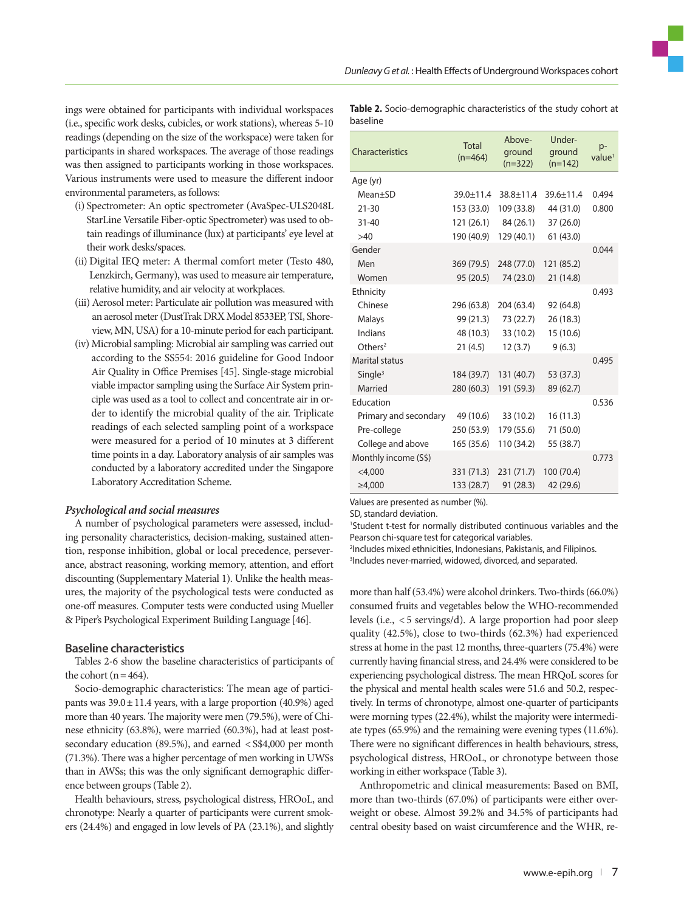ings were obtained for participants with individual workspaces (i.e., specific work desks, cubicles, or work stations), whereas 5-10 readings (depending on the size of the workspace) were taken for participants in shared workspaces. The average of those readings was then assigned to participants working in those workspaces. Various instruments were used to measure the different indoor environmental parameters, as follows:

- (i) Spectrometer: An optic spectrometer (AvaSpec-ULS2048L StarLine Versatile Fiber-optic Spectrometer) was used to obtain readings of illuminance (lux) at participants' eye level at their work desks/spaces.
- (ii) Digital IEQ meter: A thermal comfort meter (Testo 480, Lenzkirch, Germany), was used to measure air temperature, relative humidity, and air velocity at workplaces.
- (iii) Aerosol meter: Particulate air pollution was measured with an aerosol meter (DustTrak DRX Model 8533EP, TSI, Shoreview, MN, USA) for a 10-minute period for each participant.
- (iv) Microbial sampling: Microbial air sampling was carried out according to the SS554: 2016 guideline for Good Indoor Air Quality in Office Premises [45]. Single-stage microbial viable impactor sampling using the Surface Air System principle was used as a tool to collect and concentrate air in order to identify the microbial quality of the air. Triplicate readings of each selected sampling point of a workspace were measured for a period of 10 minutes at 3 different time points in a day. Laboratory analysis of air samples was conducted by a laboratory accredited under the Singapore Laboratory Accreditation Scheme.

#### *Psychological and social measures*

A number of psychological parameters were assessed, including personality characteristics, decision-making, sustained attention, response inhibition, global or local precedence, perseverance, abstract reasoning, working memory, attention, and effort discounting (Supplementary Material 1). Unlike the health measures, the majority of the psychological tests were conducted as one-off measures. Computer tests were conducted using Mueller & Piper's Psychological Experiment Building Language [46].

#### **Baseline characteristics**

Tables 2-6 show the baseline characteristics of participants of the cohort ( $n = 464$ ).

Socio-demographic characteristics: The mean age of participants was  $39.0 \pm 11.4$  years, with a large proportion (40.9%) aged more than 40 years. The majority were men (79.5%), were of Chinese ethnicity (63.8%), were married (60.3%), had at least postsecondary education (89.5%), and earned < S\$4,000 per month (71.3%). There was a higher percentage of men working in UWSs than in AWSs; this was the only significant demographic difference between groups (Table 2).

Health behaviours, stress, psychological distress, HROoL, and chronotype: Nearly a quarter of participants were current smokers (24.4%) and engaged in low levels of PA (23.1%), and slightly

|          | <b>Table 2.</b> Socio-demographic characteristics of the study cohort at |  |  |  |
|----------|--------------------------------------------------------------------------|--|--|--|
| baseline |                                                                          |  |  |  |

| Characteristics       | <b>Total</b><br>$(n=464)$ | Ahove-<br>ground<br>$(n=322)$ | Under-<br>ground<br>$(n=142)$ | $p-$<br>value <sup>1</sup> |
|-----------------------|---------------------------|-------------------------------|-------------------------------|----------------------------|
| Age (yr)              |                           |                               |                               |                            |
| $Mean \pm SD$         | $39.0 \pm 11.4$           | $38.8 + 11.4$                 | $39.6 \pm 11.4$               | 0.494                      |
| $21 - 30$             | 153 (33.0)                | 109 (33.8)                    | 44 (31.0)                     | 0.800                      |
| $31 - 40$             | 121 (26.1)                | 84 (26.1)                     | 37 (26.0)                     |                            |
| >40                   | 190 (40.9)                | 129 (40.1)                    | 61(43.0)                      |                            |
| Gender                |                           |                               |                               | 0.044                      |
| Men                   | 369 (79.5)                | 248 (77.0)                    | 121 (85.2)                    |                            |
| Women                 | 95 (20.5)                 | 74 (23.0)                     | 21 (14.8)                     |                            |
| Ethnicity             |                           |                               |                               | 0.493                      |
| Chinese               | 296 (63.8)                | 204 (63.4)                    | 92 (64.8)                     |                            |
| Malays                | 99 (21.3)                 | 73 (22.7)                     | 26 (18.3)                     |                            |
| Indians               | 48 (10.3)                 | 33 (10.2)                     | 15 (10.6)                     |                            |
| Others <sup>2</sup>   | 21(4.5)                   | 12(3.7)                       | 9(6.3)                        |                            |
| <b>Marital status</b> |                           |                               |                               | 0.495                      |
| Single <sup>3</sup>   | 184 (39.7)                | 131 (40.7)                    | 53 (37.3)                     |                            |
| Married               | 280 (60.3)                | 191 (59.3)                    | 89 (62.7)                     |                            |
| Education             |                           |                               |                               | 0.536                      |
| Primary and secondary | 49 (10.6)                 | 33 (10.2)                     | 16(11.3)                      |                            |
| Pre-college           | 250 (53.9)                | 179 (55.6)                    | 71 (50.0)                     |                            |
| College and above     | 165 (35.6)                | 110 (34.2)                    | 55 (38.7)                     |                            |
| Monthly income (S\$)  |                           |                               |                               | 0.773                      |
| $<$ 4,000             | 331 (71.3)                | 231 (71.7)                    | 100 (70.4)                    |                            |
| $\geq 4,000$          | 133 (28.7)                | 91(28.3)                      | 42 (29.6)                     |                            |
|                       |                           |                               |                               |                            |

Values are presented as number (%).

SD, standard deviation.

1 Student t-test for normally distributed continuous variables and the Pearson chi-square test for categorical variables.

2 Includes mixed ethnicities, Indonesians, Pakistanis, and Filipinos. 3 Includes never-married, widowed, divorced, and separated.

more than half (53.4%) were alcohol drinkers. Two-thirds (66.0%) consumed fruits and vegetables below the WHO-recommended levels (i.e., < 5 servings/d). A large proportion had poor sleep quality (42.5%), close to two-thirds (62.3%) had experienced stress at home in the past 12 months, three-quarters (75.4%) were currently having financial stress, and 24.4% were considered to be experiencing psychological distress. The mean HRQoL scores for the physical and mental health scales were 51.6 and 50.2, respectively. In terms of chronotype, almost one-quarter of participants were morning types (22.4%), whilst the majority were intermediate types (65.9%) and the remaining were evening types (11.6%). There were no significant differences in health behaviours, stress, psychological distress, HROoL, or chronotype between those working in either workspace (Table 3).

Anthropometric and clinical measurements: Based on BMI, more than two-thirds (67.0%) of participants were either overweight or obese. Almost 39.2% and 34.5% of participants had central obesity based on waist circumference and the WHR, re-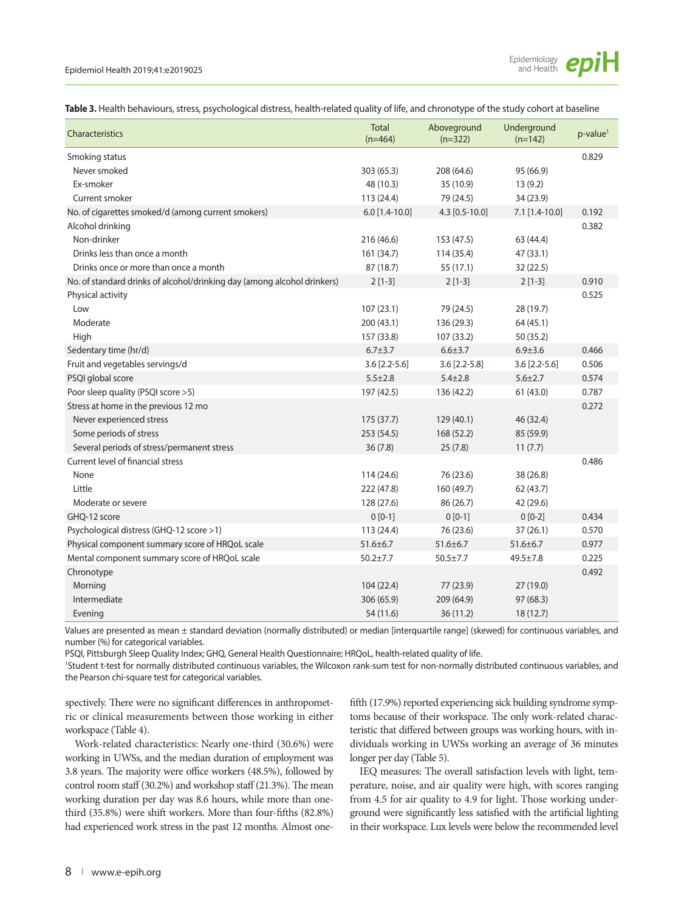

**Table 3.** Health behaviours, stress, psychological distress, health-related quality of life, and chronotype of the study cohort at baseline

| Characteristics                                                         | <b>Total</b><br>$(n=464)$ | Aboveground<br>$(n=322)$ | Underground<br>$(n=142)$ | $p$ -value <sup>1</sup> |
|-------------------------------------------------------------------------|---------------------------|--------------------------|--------------------------|-------------------------|
| Smoking status                                                          |                           |                          |                          | 0.829                   |
| Never smoked                                                            | 303 (65.3)                | 208 (64.6)               | 95 (66.9)                |                         |
| Ex-smoker                                                               | 48 (10.3)                 | 35 (10.9)                | 13(9.2)                  |                         |
| Current smoker                                                          | 113 (24.4)                | 79 (24.5)                | 34 (23.9)                |                         |
| No. of cigarettes smoked/d (among current smokers)                      | $6.0$ [1.4-10.0]          | 4.3 [0.5-10.0]           | 7.1 [1.4-10.0]           | 0.192                   |
| Alcohol drinking                                                        |                           |                          |                          | 0.382                   |
| Non-drinker                                                             | 216 (46.6)                | 153 (47.5)               | 63 (44.4)                |                         |
| Drinks less than once a month                                           | 161 (34.7)                | 114 (35.4)               | 47 (33.1)                |                         |
| Drinks once or more than once a month                                   | 87 (18.7)                 | 55 (17.1)                | 32 (22.5)                |                         |
| No. of standard drinks of alcohol/drinking day (among alcohol drinkers) | $2[1-3]$                  | $2[1-3]$                 | $2[1-3]$                 | 0.910                   |
| Physical activity                                                       |                           |                          |                          | 0.525                   |
| Low                                                                     | 107(23.1)                 | 79 (24.5)                | 28 (19.7)                |                         |
| Moderate                                                                | 200 (43.1)                | 136 (29.3)               | 64 (45.1)                |                         |
| High                                                                    | 157 (33.8)                | 107 (33.2)               | 50 (35.2)                |                         |
| Sedentary time (hr/d)                                                   | $6.7 + 3.7$               | $6.6 \pm 3.7$            | $6.9 \pm 3.6$            | 0.466                   |
| Fruit and vegetables servings/d                                         | $3.6$ [2.2-5.6]           | $3.6$ [2.2-5.8]          | $3.6$ [2.2-5.6]          | 0.506                   |
| PSQI global score                                                       | $5.5 \pm 2.8$             | $5.4 + 2.8$              | $5.6 + 2.7$              | 0.574                   |
| Poor sleep quality (PSQI score >5)                                      | 197 (42.5)                | 136 (42.2)               | 61 (43.0)                | 0.787                   |
| Stress at home in the previous 12 mo                                    |                           |                          |                          | 0.272                   |
| Never experienced stress                                                | 175 (37.7)                | 129 (40.1)               | 46 (32.4)                |                         |
| Some periods of stress                                                  | 253(54.5)                 | 168 (52.2)               | 85 (59.9)                |                         |
| Several periods of stress/permanent stress                              | 36(7.8)                   | 25(7.8)                  | 11(7.7)                  |                         |
| Current level of financial stress                                       |                           |                          |                          | 0.486                   |
| None                                                                    | 114(24.6)                 | 76 (23.6)                | 38 (26.8)                |                         |
| Little                                                                  | 222 (47.8)                | 160 (49.7)               | 62 (43.7)                |                         |
| Moderate or severe                                                      | 128 (27.6)                | 86 (26.7)                | 42 (29.6)                |                         |
| GHQ-12 score                                                            | $0 [0-1]$                 | $0[0-1]$                 | $0[0-2]$                 | 0.434                   |
| Psychological distress (GHQ-12 score >1)                                | 113 (24.4)                | 76 (23.6)                | 37(26.1)                 | 0.570                   |
| Physical component summary score of HRQoL scale                         | $51.6 \pm 6.7$            | $51.6 \pm 6.7$           | $51.6 \pm 6.7$           | 0.977                   |
| Mental component summary score of HRQoL scale                           | $50.2 + 7.7$              | $50.5 \pm 7.7$           | $49.5 \pm 7.8$           | 0.225                   |
| Chronotype                                                              |                           |                          |                          | 0.492                   |
| Morning                                                                 | 104(22.4)                 | 77 (23.9)                | 27(19.0)                 |                         |
| Intermediate                                                            | 306 (65.9)                | 209 (64.9)               | 97(68.3)                 |                         |
| Evening                                                                 | 54 (11.6)                 | 36 (11.2)                | 18 (12.7)                |                         |

Values are presented as mean ± standard deviation (normally distributed) or median [interquartile range] (skewed) for continuous variables, and number (%) for categorical variables.

PSQI, Pittsburgh Sleep Quality Index; GHQ, General Health Questionnaire; HRQoL, health-related quality of life.

1 Student t-test for normally distributed continuous variables, the Wilcoxon rank-sum test for non-normally distributed continuous variables, and the Pearson chi-square test for categorical variables.

spectively. There were no significant differences in anthropometric or clinical measurements between those working in either workspace (Table 4).

Work-related characteristics: Nearly one-third (30.6%) were working in UWSs, and the median duration of employment was 3.8 years. The majority were office workers (48.5%), followed by control room staff (30.2%) and workshop staff (21.3%). The mean working duration per day was 8.6 hours, while more than onethird (35.8%) were shift workers. More than four-fifths (82.8%) had experienced work stress in the past 12 months. Almost one-

fifth (17.9%) reported experiencing sick building syndrome symptoms because of their workspace. The only work-related characteristic that differed between groups was working hours, with individuals working in UWSs working an average of 36 minutes longer per day (Table 5).

IEQ measures: The overall satisfaction levels with light, temperature, noise, and air quality were high, with scores ranging from 4.5 for air quality to 4.9 for light. Those working underground were significantly less satisfied with the artificial lighting in their workspace. Lux levels were below the recommended level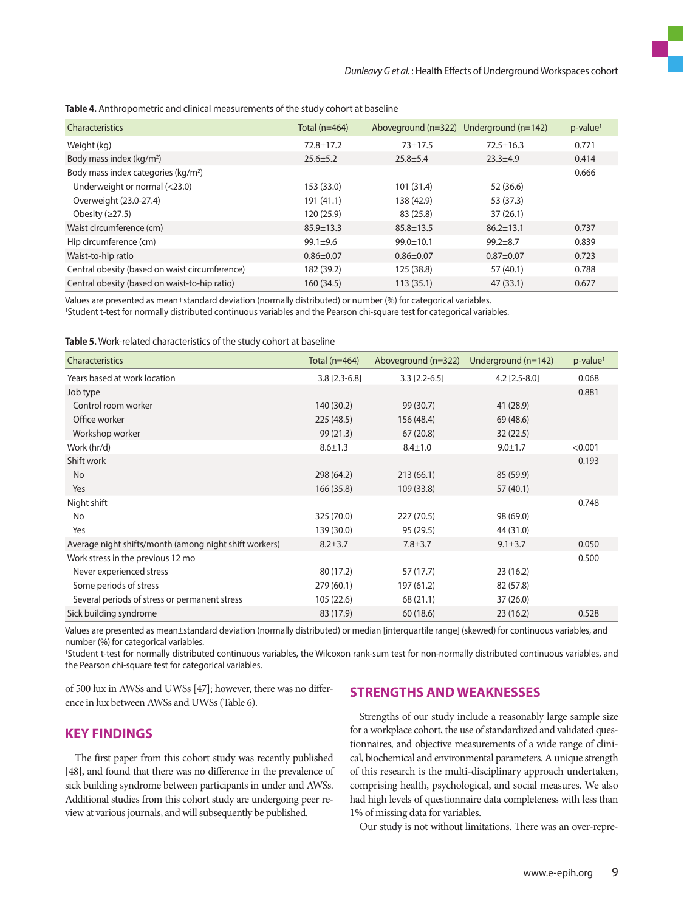| Characteristics                                 | Total (n=464)   | Aboveground $(n=322)$ Underground $(n=142)$ |                 | $p$ -value <sup>1</sup> |
|-------------------------------------------------|-----------------|---------------------------------------------|-----------------|-------------------------|
| Weight (kg)                                     | $72.8 \pm 17.2$ | $73 + 17.5$                                 | $72.5 \pm 16.3$ | 0.771                   |
| Body mass index ( $kg/m2$ )                     | $25.6 \pm 5.2$  | $25.8 \pm 5.4$                              | $23.3 + 4.9$    | 0.414                   |
| Body mass index categories (kg/m <sup>2</sup> ) |                 |                                             |                 | 0.666                   |
| Underweight or normal (<23.0)                   | 153 (33.0)      | 101 (31.4)                                  | 52 (36.6)       |                         |
| Overweight (23.0-27.4)                          | 191 (41.1)      | 138 (42.9)                                  | 53 (37.3)       |                         |
| Obesity $(≥27.5)$                               | 120 (25.9)      | 83 (25.8)                                   | 37(26.1)        |                         |
| Waist circumference (cm)                        | $85.9 \pm 13.3$ | $85.8 \pm 13.5$                             | $86.2 \pm 13.1$ | 0.737                   |
| Hip circumference (cm)                          | $99.1 + 9.6$    | $99.0 \pm 10.1$                             | $99.2 + 8.7$    | 0.839                   |
| Waist-to-hip ratio                              | $0.86 \pm 0.07$ | $0.86 \pm 0.07$                             | $0.87 + 0.07$   | 0.723                   |
| Central obesity (based on waist circumference)  | 182 (39.2)      | 125 (38.8)                                  | 57 (40.1)       | 0.788                   |
| Central obesity (based on waist-to-hip ratio)   | 160 (34.5)      | 113(35.1)                                   | 47(33.1)        | 0.677                   |

**Table 4.** Anthropometric and clinical measurements of the study cohort at baseline

Values are presented as mean±standard deviation (normally distributed) or number (%) for categorical variables. 1 Student t-test for normally distributed continuous variables and the Pearson chi-square test for categorical variables.

**Table 5.** Work-related characteristics of the study cohort at baseline

| <b>Characteristics</b>                                 | Total (n=464)   | Aboveground (n=322) | Underground $(n=142)$ | $p$ -value <sup>1</sup> |
|--------------------------------------------------------|-----------------|---------------------|-----------------------|-------------------------|
| Years based at work location                           | $3.8$ [2.3-6.8] | $3.3$ [2.2-6.5]     | $4.2$ [2.5-8.0]       | 0.068                   |
| Job type                                               |                 |                     |                       | 0.881                   |
| Control room worker                                    | 140 (30.2)      | 99 (30.7)           | 41 (28.9)             |                         |
| Office worker                                          | 225(48.5)       | 156 (48.4)          | 69 (48.6)             |                         |
| Workshop worker                                        | 99(21.3)        | 67(20.8)            | 32(22.5)              |                         |
| Work (hr/d)                                            | $8.6 \pm 1.3$   | $8.4 \pm 1.0$       | $9.0 + 1.7$           | < 0.001                 |
| Shift work                                             |                 |                     |                       | 0.193                   |
| No                                                     | 298 (64.2)      | 213(66.1)           | 85 (59.9)             |                         |
| Yes                                                    | 166 (35.8)      | 109 (33.8)          | 57(40.1)              |                         |
| Night shift                                            |                 |                     |                       | 0.748                   |
| No                                                     | 325 (70.0)      | 227(70.5)           | 98 (69.0)             |                         |
| Yes                                                    | 139 (30.0)      | 95 (29.5)           | 44 (31.0)             |                         |
| Average night shifts/month (among night shift workers) | $8.2 + 3.7$     | $7.8 \pm 3.7$       | $9.1 \pm 3.7$         | 0.050                   |
| Work stress in the previous 12 mo                      |                 |                     |                       | 0.500                   |
| Never experienced stress                               | 80 (17.2)       | 57 (17.7)           | 23(16.2)              |                         |
| Some periods of stress                                 | 279 (60.1)      | 197 (61.2)          | 82 (57.8)             |                         |
| Several periods of stress or permanent stress          | 105 (22.6)      | 68 (21.1)           | 37(26.0)              |                         |
| Sick building syndrome                                 | 83 (17.9)       | 60 (18.6)           | 23(16.2)              | 0.528                   |

Values are presented as mean±standard deviation (normally distributed) or median [interquartile range] (skewed) for continuous variables, and number (%) for categorical variables.

1 Student t-test for normally distributed continuous variables, the Wilcoxon rank-sum test for non-normally distributed continuous variables, and the Pearson chi-square test for categorical variables.

of 500 lux in AWSs and UWSs [47]; however, there was no difference in lux between AWSs and UWSs (Table 6).

# **STRENGTHS AND WEAKNESSES**

**KEY FINDINGS** 

The first paper from this cohort study was recently published [48], and found that there was no difference in the prevalence of sick building syndrome between participants in under and AWSs. Additional studies from this cohort study are undergoing peer review at various journals, and will subsequently be published.

Strengths of our study include a reasonably large sample size for a workplace cohort, the use of standardized and validated questionnaires, and objective measurements of a wide range of clinical, biochemical and environmental parameters. A unique strength of this research is the multi-disciplinary approach undertaken, comprising health, psychological, and social measures. We also had high levels of questionnaire data completeness with less than 1% of missing data for variables.

Our study is not without limitations. There was an over-repre-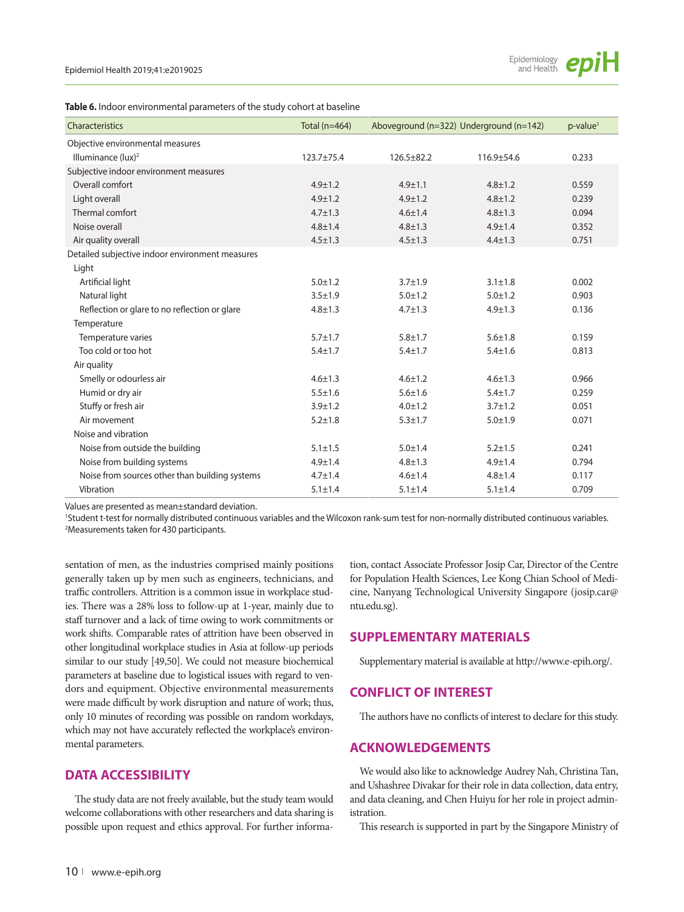| Table 6. Indoor environmental parameters of the study cohort at baseline |  |  |  |
|--------------------------------------------------------------------------|--|--|--|
|--------------------------------------------------------------------------|--|--|--|

| Characteristics                                 | Total ( $n=464$ ) |                  | Aboveground (n=322) Underground (n=142) | $p$ -value <sup>1</sup> |
|-------------------------------------------------|-------------------|------------------|-----------------------------------------|-------------------------|
| Objective environmental measures                |                   |                  |                                         |                         |
| Illuminance (lux) <sup>2</sup>                  | 123.7±75.4        | $126.5 \pm 82.2$ | 116.9±54.6                              | 0.233                   |
| Subjective indoor environment measures          |                   |                  |                                         |                         |
| Overall comfort                                 | $4.9 \pm 1.2$     | $4.9 + 1.1$      | $4.8 + 1.2$                             | 0.559                   |
| Light overall                                   | $4.9 \pm 1.2$     | $4.9 \pm 1.2$    | $4.8 \pm 1.2$                           | 0.239                   |
| Thermal comfort                                 | $4.7 \pm 1.3$     | $4.6 \pm 1.4$    | $4.8 + 1.3$                             | 0.094                   |
| Noise overall                                   | $4.8 \pm 1.4$     | $4.8 \pm 1.3$    | $4.9 \pm 1.4$                           | 0.352                   |
| Air quality overall                             | $4.5 \pm 1.3$     | $4.5 \pm 1.3$    | $4.4 \pm 1.3$                           | 0.751                   |
| Detailed subjective indoor environment measures |                   |                  |                                         |                         |
| Light                                           |                   |                  |                                         |                         |
| Artificial light                                | $5.0 \pm 1.2$     | $3.7 \pm 1.9$    | $3.1 \pm 1.8$                           | 0.002                   |
| Natural light                                   | $3.5 + 1.9$       | $5.0 \pm 1.2$    | $5.0 + 1.2$                             | 0.903                   |
| Reflection or glare to no reflection or glare   | $4.8 \pm 1.3$     | $4.7 \pm 1.3$    | $4.9 \pm 1.3$                           | 0.136                   |
| Temperature                                     |                   |                  |                                         |                         |
| Temperature varies                              | $5.7 \pm 1.7$     | $5.8 \pm 1.7$    | $5.6 + 1.8$                             | 0.159                   |
| Too cold or too hot                             | $5.4 \pm 1.7$     | $5.4 \pm 1.7$    | $5.4 \pm 1.6$                           | 0.813                   |
| Air quality                                     |                   |                  |                                         |                         |
| Smelly or odourless air                         | $4.6 \pm 1.3$     | $4.6 \pm 1.2$    | $4.6 \pm 1.3$                           | 0.966                   |
| Humid or dry air                                | $5.5 \pm 1.6$     | $5.6 + 1.6$      | $5.4 \pm 1.7$                           | 0.259                   |
| Stuffy or fresh air                             | $3.9 + 1.2$       | $4.0 \pm 1.2$    | $3.7 \pm 1.2$                           | 0.051                   |
| Air movement                                    | $5.2 \pm 1.8$     | $5.3 \pm 1.7$    | $5.0 + 1.9$                             | 0.071                   |
| Noise and vibration                             |                   |                  |                                         |                         |
| Noise from outside the building                 | $5.1 \pm 1.5$     | $5.0 \pm 1.4$    | $5.2 \pm 1.5$                           | 0.241                   |
| Noise from building systems                     | $4.9 \pm 1.4$     | $4.8 + 1.3$      | $4.9 \pm 1.4$                           | 0.794                   |
| Noise from sources other than building systems  | $4.7 \pm 1.4$     | $4.6 \pm 1.4$    | $4.8 + 1.4$                             | 0.117                   |
| Vibration                                       | $5.1 \pm 1.4$     | $5.1 \pm 1.4$    | $5.1 \pm 1.4$                           | 0.709                   |

Values are presented as mean±standard deviation.

1 Student t-test for normally distributed continuous variables and the Wilcoxon rank-sum test for non-normally distributed continuous variables. 2 Measurements taken for 430 participants.

sentation of men, as the industries comprised mainly positions generally taken up by men such as engineers, technicians, and traffic controllers. Attrition is a common issue in workplace studies. There was a 28% loss to follow-up at 1-year, mainly due to staff turnover and a lack of time owing to work commitments or work shifts. Comparable rates of attrition have been observed in other longitudinal workplace studies in Asia at follow-up periods similar to our study [49,50]. We could not measure biochemical parameters at baseline due to logistical issues with regard to vendors and equipment. Objective environmental measurements were made difficult by work disruption and nature of work; thus, only 10 minutes of recording was possible on random workdays, which may not have accurately reflected the workplace's environmental parameters.

# **DATA ACCESSIBILITY**

The study data are not freely available, but the study team would welcome collaborations with other researchers and data sharing is possible upon request and ethics approval. For further information, contact Associate Professor Josip Car, Director of the Centre for Population Health Sciences, Lee Kong Chian School of Medicine, Nanyang Technological University Singapore (josip.car@ ntu.edu.sg).

# **SUPPLEMENTARY MATERIALS**

Supplementary material is available at http://www.e-epih.org/.

# **CONFLICT OF INTEREST**

The authors have no conflicts of interest to declare for this study.

# **ACKNOWLEDGEMENTS**

We would also like to acknowledge Audrey Nah, Christina Tan, and Ushashree Divakar for their role in data collection, data entry, and data cleaning, and Chen Huiyu for her role in project administration.

This research is supported in part by the Singapore Ministry of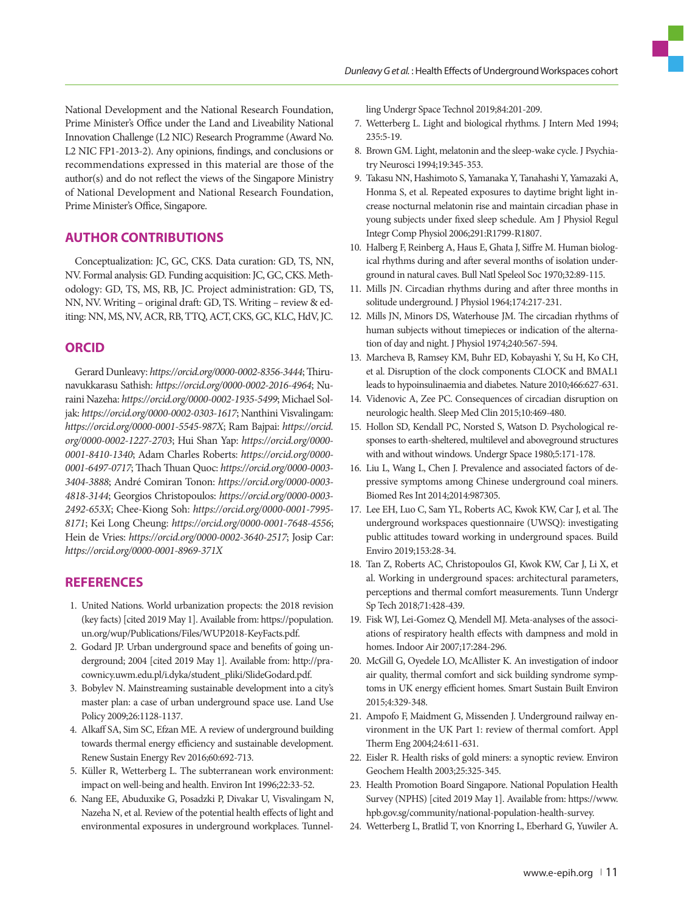National Development and the National Research Foundation, Prime Minister's Office under the Land and Liveability National Innovation Challenge (L2 NIC) Research Programme (Award No. L2 NIC FP1-2013-2). Any opinions, findings, and conclusions or recommendations expressed in this material are those of the author(s) and do not reflect the views of the Singapore Ministry of National Development and National Research Foundation, Prime Minister's Office, Singapore.

# **AUTHOR CONTRIBUTIONS**

Conceptualization: JC, GC, CKS. Data curation: GD, TS, NN, NV. Formal analysis: GD. Funding acquisition: JC, GC, CKS. Methodology: GD, TS, MS, RB, JC. Project administration: GD, TS, NN, NV. Writing – original draft: GD, TS. Writing – review & editing: NN, MS, NV, ACR, RB, TTQ, ACT, CKS, GC, KLC, HdV, JC.

# **ORCID**

Gerard Dunleavy: *https://orcid.org/0000-0002-8356-3444*; Thirunavukkarasu Sathish: *https://orcid.org/0000-0002-2016-4964*; Nuraini Nazeha: *https://orcid.org/0000-0002-1935-5499*; Michael Soljak: *https://orcid.org/0000-0002-0303-1617*; Nanthini Visvalingam: *https://orcid.org/0000-0001-5545-987X*; Ram Bajpai: *https://orcid. org/0000-0002-1227-2703*; Hui Shan Yap: *https://orcid.org/0000- 0001-8410-1340*; Adam Charles Roberts: *https://orcid.org/0000- 0001-6497-0717*; Thach Thuan Quoc: *https://orcid.org/0000-0003- 3404-3888*; André Comiran Tonon: *https://orcid.org/0000-0003- 4818-3144*; Georgios Christopoulos: *https://orcid.org/0000-0003- 2492-653X*; Chee-Kiong Soh: *https://orcid.org/0000-0001-7995- 8171*; Kei Long Cheung: *https://orcid.org/0000-0001-7648-4556*; Hein de Vries: *https://orcid.org/0000-0002-3640-2517*; Josip Car: *https://orcid.org/0000-0001-8969-371X*

# **REFERENCES**

- 1. United Nations. World urbanization propects: the 2018 revision (key facts) [cited 2019 May 1]. Available from: https://population. un.org/wup/Publications/Files/WUP2018-KeyFacts.pdf.
- 2. Godard JP. Urban underground space and benefits of going underground; 2004 [cited 2019 May 1]. Available from: http://pracownicy.uwm.edu.pl/i.dyka/student\_pliki/SlideGodard.pdf.
- 3. Bobylev N. Mainstreaming sustainable development into a city's master plan: a case of urban underground space use. Land Use Policy 2009;26:1128-1137.
- 4. Alkaff SA, Sim SC, Efzan ME. A review of underground building towards thermal energy efficiency and sustainable development. Renew Sustain Energy Rev 2016;60:692-713.
- 5. Küller R, Wetterberg L. The subterranean work environment: impact on well-being and health. Environ Int 1996;22:33-52.
- 6. Nang EE, Abuduxike G, Posadzki P, Divakar U, Visvalingam N, Nazeha N, et al. Review of the potential health effects of light and environmental exposures in underground workplaces. Tunnel-

ling Undergr Space Technol 2019;84:201-209.

- 7. Wetterberg L. Light and biological rhythms. J Intern Med 1994; 235:5-19.
- 8. Brown GM. Light, melatonin and the sleep-wake cycle. J Psychiatry Neurosci 1994;19:345-353.
- 9. Takasu NN, Hashimoto S, Yamanaka Y, Tanahashi Y, Yamazaki A, Honma S, et al. Repeated exposures to daytime bright light increase nocturnal melatonin rise and maintain circadian phase in young subjects under fixed sleep schedule. Am J Physiol Regul Integr Comp Physiol 2006;291:R1799-R1807.
- 10. Halberg F, Reinberg A, Haus E, Ghata J, Siffre M. Human biological rhythms during and after several months of isolation underground in natural caves. Bull Natl Speleol Soc 1970;32:89-115.
- 11. Mills JN. Circadian rhythms during and after three months in solitude underground. J Physiol 1964;174:217-231.
- 12. Mills JN, Minors DS, Waterhouse JM. The circadian rhythms of human subjects without timepieces or indication of the alternation of day and night. J Physiol 1974;240:567-594.
- 13. Marcheva B, Ramsey KM, Buhr ED, Kobayashi Y, Su H, Ko CH, et al. Disruption of the clock components CLOCK and BMAL1 leads to hypoinsulinaemia and diabetes. Nature 2010;466:627-631.
- 14. Videnovic A, Zee PC. Consequences of circadian disruption on neurologic health. Sleep Med Clin 2015;10:469-480.
- 15. Hollon SD, Kendall PC, Norsted S, Watson D. Psychological responses to earth-sheltered, multilevel and aboveground structures with and without windows. Undergr Space 1980;5:171-178.
- 16. Liu L, Wang L, Chen J. Prevalence and associated factors of depressive symptoms among Chinese underground coal miners. Biomed Res Int 2014;2014:987305.
- 17. Lee EH, Luo C, Sam YL, Roberts AC, Kwok KW, Car J, et al. The underground workspaces questionnaire (UWSQ): investigating public attitudes toward working in underground spaces. Build Enviro 2019;153:28-34.
- 18. Tan Z, Roberts AC, Christopoulos GI, Kwok KW, Car J, Li X, et al. Working in underground spaces: architectural parameters, perceptions and thermal comfort measurements. Tunn Undergr Sp Tech 2018;71:428-439.
- 19. Fisk WJ, Lei-Gomez Q, Mendell MJ. Meta-analyses of the associations of respiratory health effects with dampness and mold in homes. Indoor Air 2007;17:284-296.
- 20. McGill G, Oyedele LO, McAllister K. An investigation of indoor air quality, thermal comfort and sick building syndrome symptoms in UK energy efficient homes. Smart Sustain Built Environ 2015;4:329-348.
- 21. Ampofo F, Maidment G, Missenden J. Underground railway environment in the UK Part 1: review of thermal comfort. Appl Therm Eng 2004;24:611-631.
- 22. Eisler R. Health risks of gold miners: a synoptic review. Environ Geochem Health 2003;25:325-345.
- 23. Health Promotion Board Singapore. National Population Health Survey (NPHS) [cited 2019 May 1]. Available from: https://www. hpb.gov.sg/community/national-population-health-survey.
- 24. Wetterberg L, Bratlid T, von Knorring L, Eberhard G, Yuwiler A.